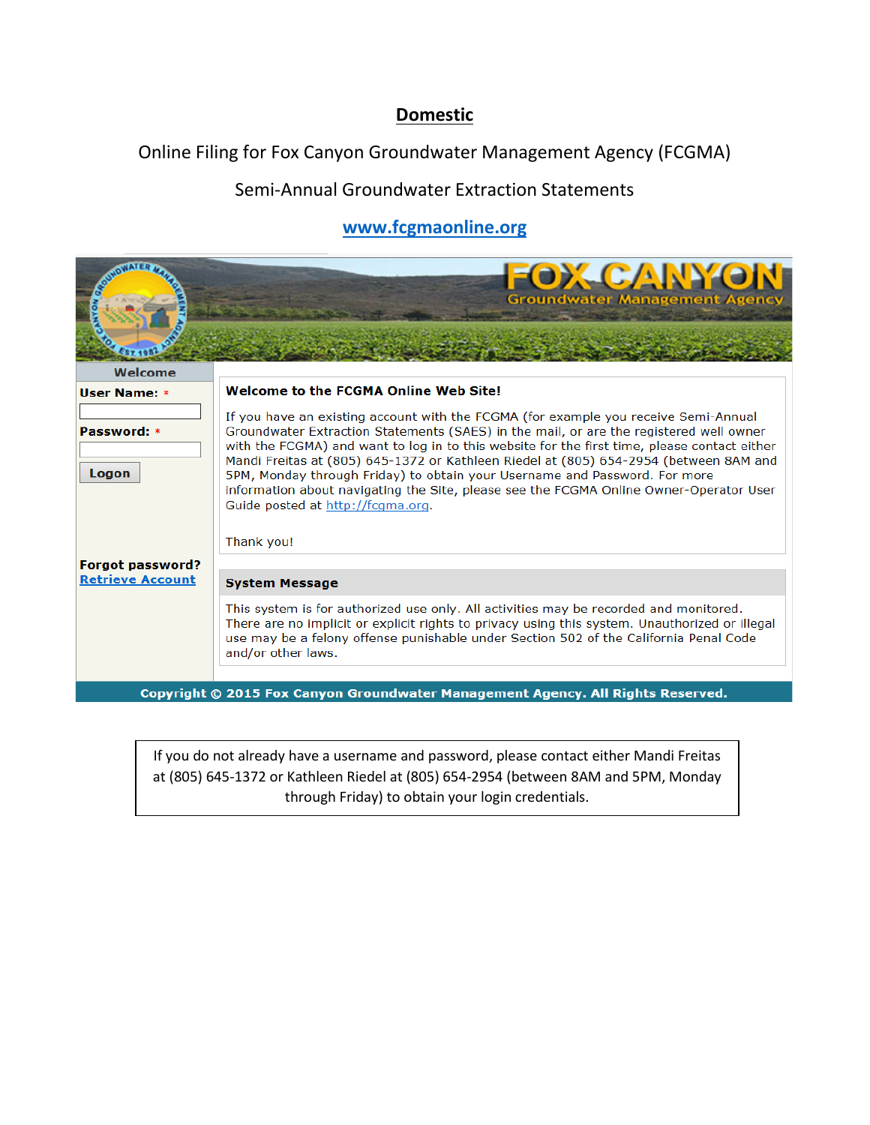## **Domestic**

Online Filing for Fox Canyon Groundwater Management Agency (FCGMA)

## Semi-Annual Groundwater Extraction Statements

## **[www.fcgmaonline.org](https://www.fcgmaonline.org/Logon/Logon.aspx)**

|                         | FOX CANYON<br><b>Groundwater Management Agency</b>                                                                                                                                                                                                                                                                                                                                                                                                                                                                                                                                                |
|-------------------------|---------------------------------------------------------------------------------------------------------------------------------------------------------------------------------------------------------------------------------------------------------------------------------------------------------------------------------------------------------------------------------------------------------------------------------------------------------------------------------------------------------------------------------------------------------------------------------------------------|
| Welcome                 |                                                                                                                                                                                                                                                                                                                                                                                                                                                                                                                                                                                                   |
| User Name: *            | <b>Welcome to the FCGMA Online Web Site!</b>                                                                                                                                                                                                                                                                                                                                                                                                                                                                                                                                                      |
| Password: *<br>Logon    | If you have an existing account with the FCGMA (for example you receive Semi-Annual<br>Groundwater Extraction Statements (SAES) in the mail, or are the registered well owner<br>with the FCGMA) and want to log in to this website for the first time, please contact either<br>Mandi Freitas at (805) 645-1372 or Kathleen Riedel at (805) 654-2954 (between 8AM and<br>5PM, Monday through Friday) to obtain your Username and Password. For more<br>information about navigating the Site, please see the FCGMA Online Owner-Operator User<br>Guide posted at http://fcgma.org.<br>Thank you! |
| <b>Forgot password?</b> |                                                                                                                                                                                                                                                                                                                                                                                                                                                                                                                                                                                                   |
| <b>Retrieve Account</b> | <b>System Message</b>                                                                                                                                                                                                                                                                                                                                                                                                                                                                                                                                                                             |
|                         | This system is for authorized use only. All activities may be recorded and monitored.<br>There are no implicit or explicit rights to privacy using this system. Unauthorized or illegal<br>use may be a felony offense punishable under Section 502 of the California Penal Code<br>and/or other laws.                                                                                                                                                                                                                                                                                            |
|                         | Copyright © 2015 Fox Canyon Groundwater Management Agency. All Rights Reserved.                                                                                                                                                                                                                                                                                                                                                                                                                                                                                                                   |

If you do not already have a username and password, please contact either Mandi Freitas at (805) 645-1372 or Kathleen Riedel at (805) 654-2954 (between 8AM and 5PM, Monday through Friday) to obtain your login credentials.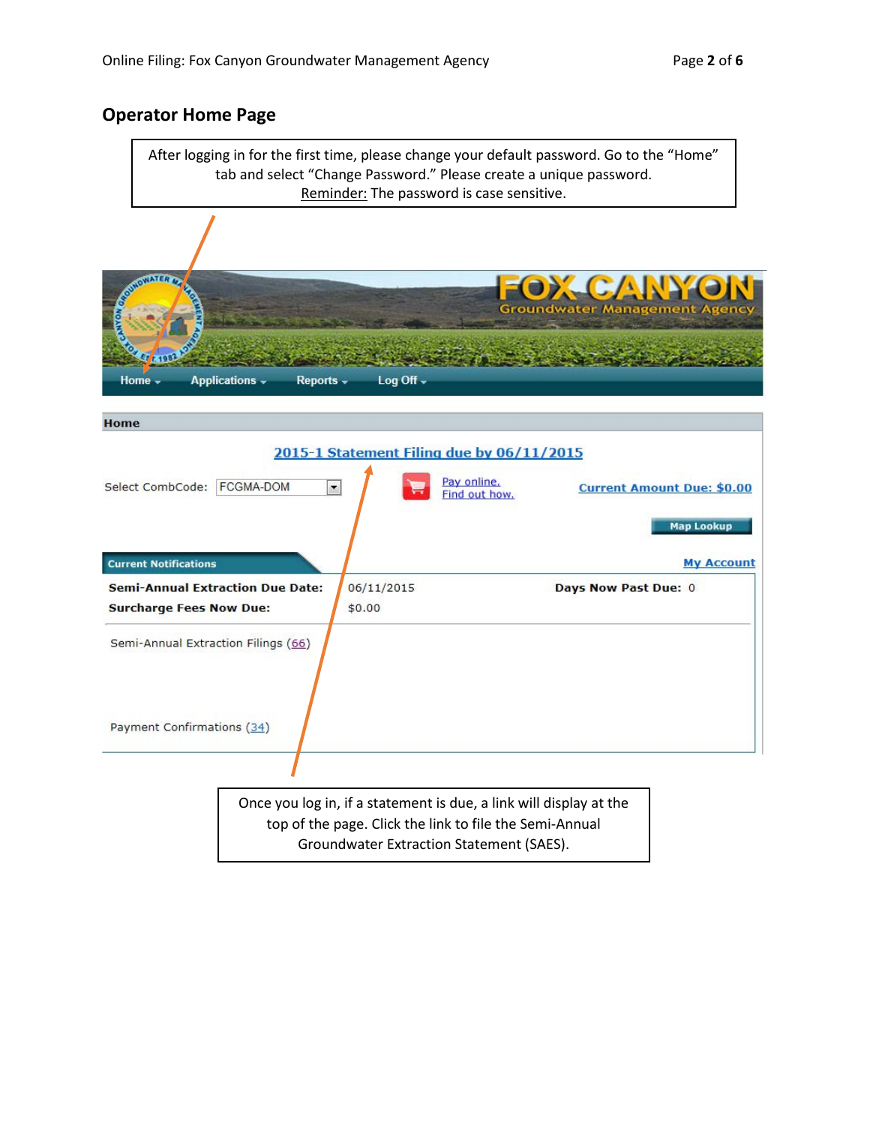### **Operator Home Page**

After logging in for the first time, please change your default password. Go to the "Home" tab and select "Change Password." Please create a unique password. Reminder: The password is case sensitive.

|                                                                                                   | FOX CANYON<br><b>Groundwater Management Agency</b>                                                          |
|---------------------------------------------------------------------------------------------------|-------------------------------------------------------------------------------------------------------------|
| Log Off +<br>Applications v<br>Home -<br>Reports v                                                |                                                                                                             |
| Home                                                                                              |                                                                                                             |
|                                                                                                   | 2015-1 Statement Filing due by 06/11/2015                                                                   |
| Select CombCode: FCGMA-DOM<br>$\overline{\phantom{a}}$<br><b>Current Notifications</b>            | Pay online.<br>Find out how.<br><b>Current Amount Due: \$0.00</b><br><b>Map Lookup</b><br><b>My Account</b> |
| <b>Semi-Annual Extraction Due Date:</b><br>06/11/2015<br>\$0.00<br><b>Surcharge Fees Now Due:</b> | Days Now Past Due: 0                                                                                        |
| Semi-Annual Extraction Filings (66)                                                               |                                                                                                             |
| Payment Confirmations (34)                                                                        |                                                                                                             |
|                                                                                                   | Once you log in, if a statement is due, a link will display at the                                          |

top of the page. Click the link to file the Semi-Annual Groundwater Extraction Statement (SAES).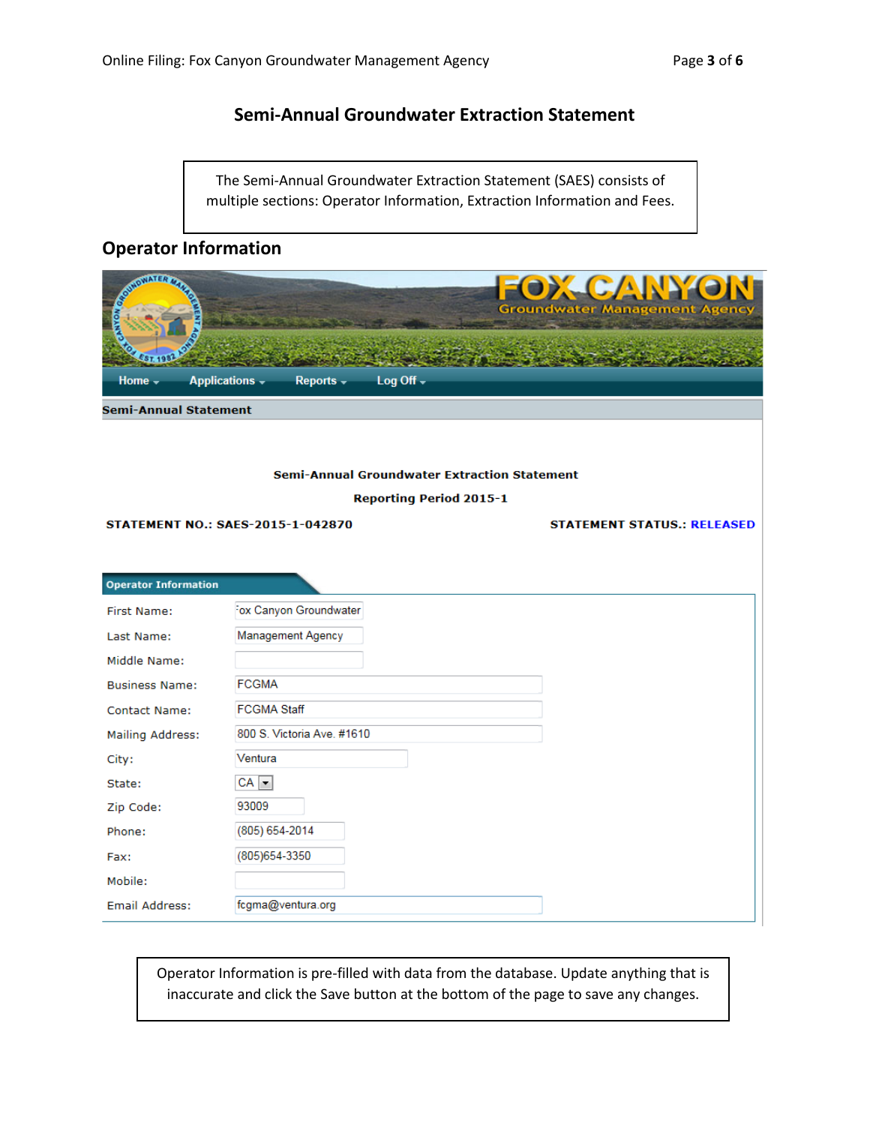### **Semi-Annual Groundwater Extraction Statement**

The Semi-Annual Groundwater Extraction Statement (SAES) consists of multiple sections: Operator Information, Extraction Information and Fees.

## **Operator Information**

| <b>WOMATER</b><br>Home -<br><b>Semi-Annual Statement</b> | <b>Applications -</b><br>Log Off -<br>$Reports -$   | <b>CANA</b><br><b>Groundwater Management Agency</b> |
|----------------------------------------------------------|-----------------------------------------------------|-----------------------------------------------------|
|                                                          |                                                     |                                                     |
|                                                          | <b>Semi-Annual Groundwater Extraction Statement</b> |                                                     |
|                                                          | <b>Reporting Period 2015-1</b>                      |                                                     |
|                                                          | <b>STATEMENT NO.: SAES-2015-1-042870</b>            | <b>STATEMENT STATUS.: RELEASED</b>                  |
|                                                          |                                                     |                                                     |
| <b>Operator Information</b>                              |                                                     |                                                     |
| <b>First Name:</b>                                       | Fox Canyon Groundwater                              |                                                     |
| Last Name:                                               | Management Agency                                   |                                                     |
| Middle Name:                                             |                                                     |                                                     |
| <b>Business Name:</b>                                    | <b>FCGMA</b>                                        |                                                     |
| <b>Contact Name:</b>                                     | <b>FCGMA Staff</b>                                  |                                                     |
| Mailing Address:                                         | 800 S. Victoria Ave. #1610                          |                                                     |
| City:                                                    | Ventura                                             |                                                     |
| State:                                                   | $CA$ $\rightarrow$                                  |                                                     |
| Zip Code:                                                | 93009                                               |                                                     |
| Phone:                                                   | (805) 654-2014                                      |                                                     |
| Fax:                                                     | (805) 654-3350                                      |                                                     |
| Mobile:                                                  |                                                     |                                                     |
| <b>Email Address:</b>                                    | fcgma@ventura.org                                   |                                                     |

Operator Information is pre-filled with data from the database. Update anything that is inaccurate and click the Save button at the bottom of the page to save any changes.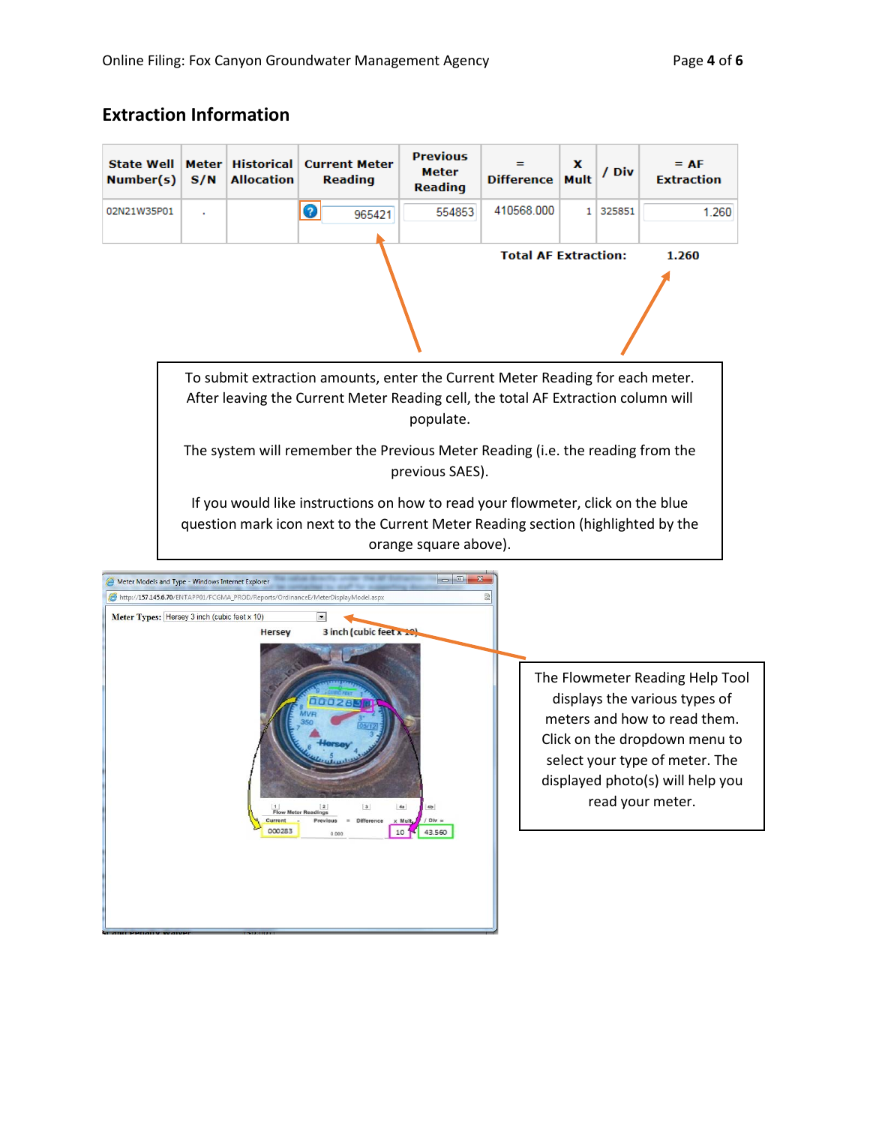# **Extraction Information**

| <b>State Well</b><br>Number(s)                                                                                                                                                                                                                                                                                                                                                                                                                                                                                                                                                                                                                                          | Meter<br>S/N                                                                                                                                                                                 | <b>Historical</b><br><b>Allocation</b> | <b>Current Meter</b><br><b>Reading</b> | <b>Previous</b><br>Meter<br><b>Reading</b> | <b>Difference</b>           | x<br>Mult | / Div    | $= AF$<br><b>Extraction</b> |
|-------------------------------------------------------------------------------------------------------------------------------------------------------------------------------------------------------------------------------------------------------------------------------------------------------------------------------------------------------------------------------------------------------------------------------------------------------------------------------------------------------------------------------------------------------------------------------------------------------------------------------------------------------------------------|----------------------------------------------------------------------------------------------------------------------------------------------------------------------------------------------|----------------------------------------|----------------------------------------|--------------------------------------------|-----------------------------|-----------|----------|-----------------------------|
| 02N21W35P01                                                                                                                                                                                                                                                                                                                                                                                                                                                                                                                                                                                                                                                             |                                                                                                                                                                                              |                                        | $\bullet$<br>965421                    | 554853                                     | 410568.000                  |           | 1 325851 | 1.260                       |
|                                                                                                                                                                                                                                                                                                                                                                                                                                                                                                                                                                                                                                                                         |                                                                                                                                                                                              |                                        |                                        |                                            | <b>Total AF Extraction:</b> |           |          | 1.260                       |
| To submit extraction amounts, enter the Current Meter Reading for each meter.<br>After leaving the Current Meter Reading cell, the total AF Extraction column will<br>populate.<br>The system will remember the Previous Meter Reading (i.e. the reading from the<br>previous SAES).                                                                                                                                                                                                                                                                                                                                                                                    |                                                                                                                                                                                              |                                        |                                        |                                            |                             |           |          |                             |
|                                                                                                                                                                                                                                                                                                                                                                                                                                                                                                                                                                                                                                                                         | If you would like instructions on how to read your flowmeter, click on the blue<br>question mark icon next to the Current Meter Reading section (highlighted by the<br>orange square above). |                                        |                                        |                                            |                             |           |          |                             |
| $= 0$<br>Meter Models and Type - Windows Internet Explorer<br>http://157.145.6.70/ENTAPP01/FCGMA_PROD/Reports/OrdinanceE/MeterDisplayModel.aspx<br>Meter Types: Hersey 3 inch (cubic feet x 10)<br>$\vert \cdot \vert$<br>3 inch (cubic feet x 10<br>Hersey<br>The Flowmeter Reading Help Tool<br>displays the various types of<br>meters and how to read them.<br>Click on the dropdown menu to<br>select your type of meter. The<br>displayed photo(s) will help you<br>read your meter.<br> 2 <br> 3 <br>4a<br>4b<br><b>Flow Meter Readings</b><br>$/$ Div $=$<br>Current<br>Previous<br><b>Difference</b><br>x Mult<br>000283<br>10 <sup>1</sup><br>43.560<br>0.000 |                                                                                                                                                                                              |                                        |                                        |                                            |                             |           |          |                             |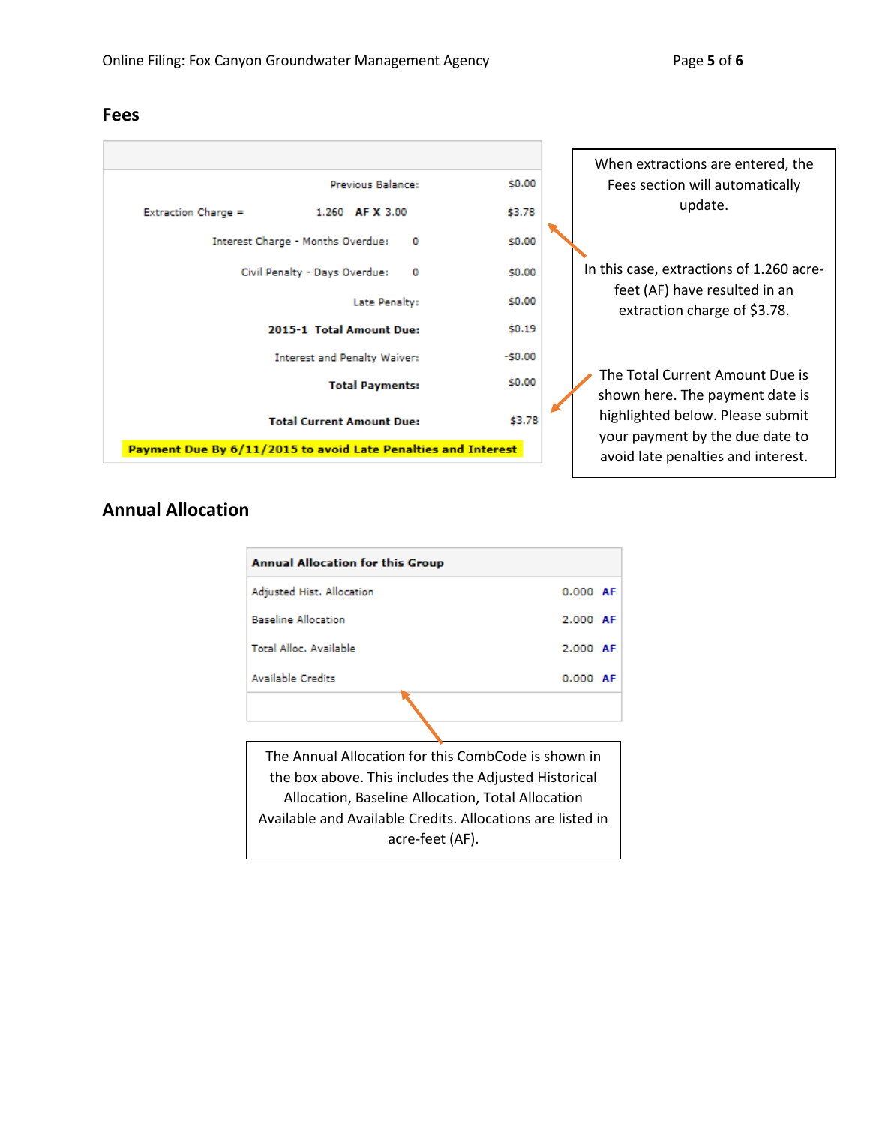

## **Annual Allocation**

| <b>Annual Allocation for this Group</b>                    |            |  |  |  |  |
|------------------------------------------------------------|------------|--|--|--|--|
| Adjusted Hist. Allocation                                  | $0.000$ AF |  |  |  |  |
| <b>Baseline Allocation</b>                                 | 2.000 AF   |  |  |  |  |
| Total Alloc, Available                                     | 2.000 AF   |  |  |  |  |
| <b>Available Credits</b>                                   | $0.000$ AF |  |  |  |  |
|                                                            |            |  |  |  |  |
|                                                            |            |  |  |  |  |
| The Annual Allocation for this CombCode is shown in        |            |  |  |  |  |
| the box above. This includes the Adjusted Historical       |            |  |  |  |  |
| Allocation, Baseline Allocation, Total Allocation          |            |  |  |  |  |
| Available and Available Credits. Allocations are listed in |            |  |  |  |  |
| acre-feet (AF).                                            |            |  |  |  |  |

### **Fees**